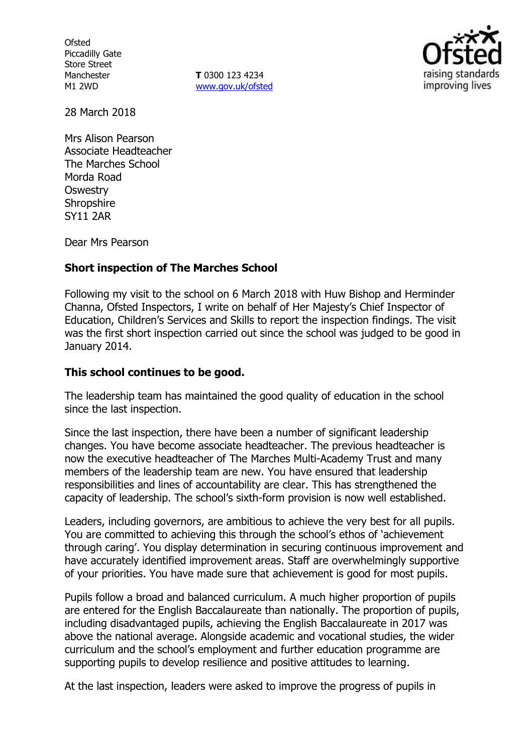**Ofsted** Piccadilly Gate Store Street Manchester M1 2WD

**T** 0300 123 4234 www.gov.uk/ofsted



28 March 2018

Mrs Alison Pearson Associate Headteacher The Marches School Morda Road **Oswestry Shropshire** SY11 2AR

Dear Mrs Pearson

## **Short inspection of The Marches School**

Following my visit to the school on 6 March 2018 with Huw Bishop and Herminder Channa, Ofsted Inspectors, I write on behalf of Her Majesty's Chief Inspector of Education, Children's Services and Skills to report the inspection findings. The visit was the first short inspection carried out since the school was judged to be good in January 2014.

#### **This school continues to be good.**

The leadership team has maintained the good quality of education in the school since the last inspection.

Since the last inspection, there have been a number of significant leadership changes. You have become associate headteacher. The previous headteacher is now the executive headteacher of The Marches Multi-Academy Trust and many members of the leadership team are new. You have ensured that leadership responsibilities and lines of accountability are clear. This has strengthened the capacity of leadership. The school's sixth-form provision is now well established.

Leaders, including governors, are ambitious to achieve the very best for all pupils. You are committed to achieving this through the school's ethos of 'achievement through caring'. You display determination in securing continuous improvement and have accurately identified improvement areas. Staff are overwhelmingly supportive of your priorities. You have made sure that achievement is good for most pupils.

Pupils follow a broad and balanced curriculum. A much higher proportion of pupils are entered for the English Baccalaureate than nationally. The proportion of pupils, including disadvantaged pupils, achieving the English Baccalaureate in 2017 was above the national average. Alongside academic and vocational studies, the wider curriculum and the school's employment and further education programme are supporting pupils to develop resilience and positive attitudes to learning.

At the last inspection, leaders were asked to improve the progress of pupils in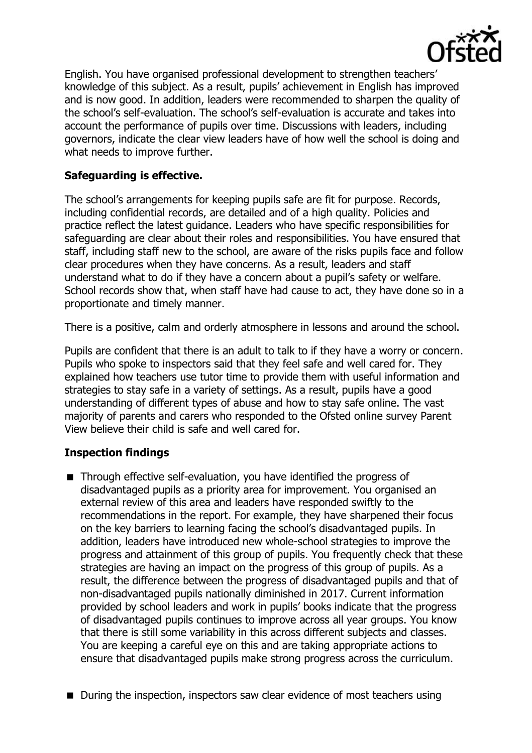

English. You have organised professional development to strengthen teachers' knowledge of this subject. As a result, pupils' achievement in English has improved and is now good. In addition, leaders were recommended to sharpen the quality of the school's self-evaluation. The school's self-evaluation is accurate and takes into account the performance of pupils over time. Discussions with leaders, including governors, indicate the clear view leaders have of how well the school is doing and what needs to improve further.

## **Safeguarding is effective.**

The school's arrangements for keeping pupils safe are fit for purpose. Records, including confidential records, are detailed and of a high quality. Policies and practice reflect the latest guidance. Leaders who have specific responsibilities for safeguarding are clear about their roles and responsibilities. You have ensured that staff, including staff new to the school, are aware of the risks pupils face and follow clear procedures when they have concerns. As a result, leaders and staff understand what to do if they have a concern about a pupil's safety or welfare. School records show that, when staff have had cause to act, they have done so in a proportionate and timely manner.

There is a positive, calm and orderly atmosphere in lessons and around the school.

Pupils are confident that there is an adult to talk to if they have a worry or concern. Pupils who spoke to inspectors said that they feel safe and well cared for. They explained how teachers use tutor time to provide them with useful information and strategies to stay safe in a variety of settings. As a result, pupils have a good understanding of different types of abuse and how to stay safe online. The vast majority of parents and carers who responded to the Ofsted online survey Parent View believe their child is safe and well cared for.

# **Inspection findings**

- Through effective self-evaluation, you have identified the progress of disadvantaged pupils as a priority area for improvement. You organised an external review of this area and leaders have responded swiftly to the recommendations in the report. For example, they have sharpened their focus on the key barriers to learning facing the school's disadvantaged pupils. In addition, leaders have introduced new whole-school strategies to improve the progress and attainment of this group of pupils. You frequently check that these strategies are having an impact on the progress of this group of pupils. As a result, the difference between the progress of disadvantaged pupils and that of non-disadvantaged pupils nationally diminished in 2017. Current information provided by school leaders and work in pupils' books indicate that the progress of disadvantaged pupils continues to improve across all year groups. You know that there is still some variability in this across different subjects and classes. You are keeping a careful eye on this and are taking appropriate actions to ensure that disadvantaged pupils make strong progress across the curriculum.
- During the inspection, inspectors saw clear evidence of most teachers using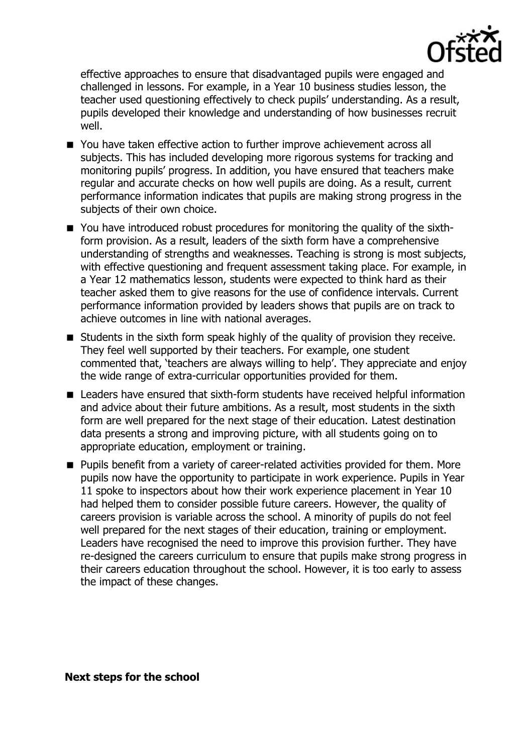

effective approaches to ensure that disadvantaged pupils were engaged and challenged in lessons. For example, in a Year 10 business studies lesson, the teacher used questioning effectively to check pupils' understanding. As a result, pupils developed their knowledge and understanding of how businesses recruit well.

- You have taken effective action to further improve achievement across all subjects. This has included developing more rigorous systems for tracking and monitoring pupils' progress. In addition, you have ensured that teachers make regular and accurate checks on how well pupils are doing. As a result, current performance information indicates that pupils are making strong progress in the subjects of their own choice.
- You have introduced robust procedures for monitoring the quality of the sixthform provision. As a result, leaders of the sixth form have a comprehensive understanding of strengths and weaknesses. Teaching is strong is most subjects, with effective questioning and frequent assessment taking place. For example, in a Year 12 mathematics lesson, students were expected to think hard as their teacher asked them to give reasons for the use of confidence intervals. Current performance information provided by leaders shows that pupils are on track to achieve outcomes in line with national averages.
- Students in the sixth form speak highly of the quality of provision they receive. They feel well supported by their teachers. For example, one student commented that, 'teachers are always willing to help'. They appreciate and enjoy the wide range of extra-curricular opportunities provided for them.
- Leaders have ensured that sixth-form students have received helpful information and advice about their future ambitions. As a result, most students in the sixth form are well prepared for the next stage of their education. Latest destination data presents a strong and improving picture, with all students going on to appropriate education, employment or training.
- Pupils benefit from a variety of career-related activities provided for them. More pupils now have the opportunity to participate in work experience. Pupils in Year 11 spoke to inspectors about how their work experience placement in Year 10 had helped them to consider possible future careers. However, the quality of careers provision is variable across the school. A minority of pupils do not feel well prepared for the next stages of their education, training or employment. Leaders have recognised the need to improve this provision further. They have re-designed the careers curriculum to ensure that pupils make strong progress in their careers education throughout the school. However, it is too early to assess the impact of these changes.